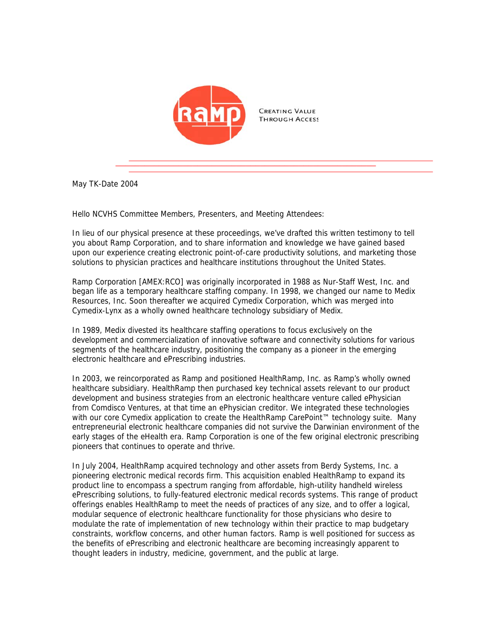

May TK-Date 2004

Hello NCVHS Committee Members, Presenters, and Meeting Attendees:

In lieu of our physical presence at these proceedings, we've drafted this written testimony to tell you about Ramp Corporation, and to share information and knowledge we have gained based upon our experience creating electronic point-of-care productivity solutions, and marketing those solutions to physician practices and healthcare institutions throughout the United States.

Ramp Corporation [AMEX:RCO] was originally incorporated in 1988 as Nur-Staff West, Inc. and began life as a temporary healthcare staffing company. In 1998, we changed our name to Medix Resources, Inc. Soon thereafter we acquired Cymedix Corporation, which was merged into Cymedix-Lynx as a wholly owned healthcare technology subsidiary of Medix.

In 1989, Medix divested its healthcare staffing operations to focus exclusively on the development and commercialization of innovative software and connectivity solutions for various segments of the healthcare industry, positioning the company as a pioneer in the emerging electronic healthcare and ePrescribing industries.

In 2003, we reincorporated as Ramp and positioned HealthRamp, Inc. as Ramp's wholly owned healthcare subsidiary. HealthRamp then purchased key technical assets relevant to our product development and business strategies from an electronic healthcare venture called ePhysician from Comdisco Ventures, at that time an ePhysician creditor. We integrated these technologies with our core Cymedix application to create the HealthRamp CarePoint™ technology suite. Many entrepreneurial electronic healthcare companies did not survive the Darwinian environment of the early stages of the eHealth era. Ramp Corporation is one of the few original electronic prescribing pioneers that continues to operate and thrive.

In July 2004, HealthRamp acquired technology and other assets from Berdy Systems, Inc. a pioneering electronic medical records firm. This acquisition enabled HealthRamp to expand its product line to encompass a spectrum ranging from affordable, high-utility handheld wireless ePrescribing solutions, to fully-featured electronic medical records systems. This range of product offerings enables HealthRamp to meet the needs of practices of any size, and to offer a logical, modular sequence of electronic healthcare functionality for those physicians who desire to modulate the rate of implementation of new technology within their practice to map budgetary constraints, workflow concerns, and other human factors. Ramp is well positioned for success as the benefits of ePrescribing and electronic healthcare are becoming increasingly apparent to thought leaders in industry, medicine, government, and the public at large.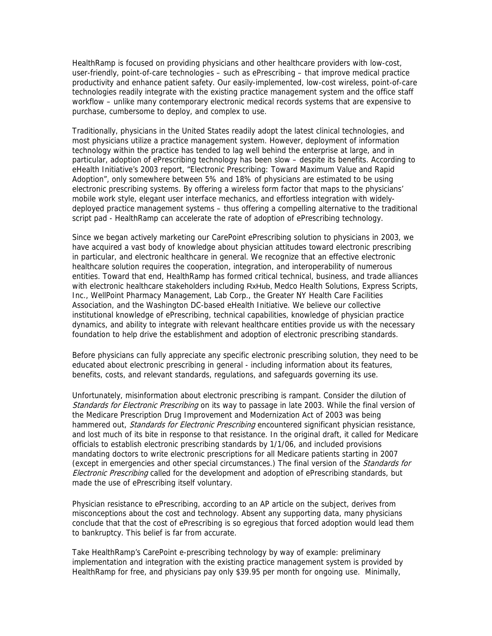HealthRamp is focused on providing physicians and other healthcare providers with low-cost, user-friendly, point-of-care technologies – such as ePrescribing – that improve medical practice productivity and enhance patient safety. Our easily-implemented, low-cost wireless, point-of-care technologies readily integrate with the existing practice management system and the office staff workflow – unlike many contemporary electronic medical records systems that are expensive to purchase, cumbersome to deploy, and complex to use.

Traditionally, physicians in the United States readily adopt the latest clinical technologies, and most physicians utilize a practice management system. However, deployment of information technology within the practice has tended to lag well behind the enterprise at large, and in particular, adoption of ePrescribing technology has been slow – despite its benefits. According to eHealth Initiative's 2003 report, "Electronic Prescribing: Toward Maximum Value and Rapid Adoption", only somewhere between 5% and 18% of physicians are estimated to be using electronic prescribing systems. By offering a wireless form factor that maps to the physicians' mobile work style, elegant user interface mechanics, and effortless integration with widelydeployed practice management systems – thus offering a compelling alternative to the traditional script pad - HealthRamp can accelerate the rate of adoption of ePrescribing technology.

Since we began actively marketing our CarePoint ePrescribing solution to physicians in 2003, we have acquired a vast body of knowledge about physician attitudes toward electronic prescribing in particular, and electronic healthcare in general. We recognize that an effective electronic healthcare solution requires the cooperation, integration, and interoperability of numerous entities. Toward that end, HealthRamp has formed critical technical, business, and trade alliances with electronic healthcare stakeholders including RxHub, Medco Health Solutions, Express Scripts, Inc., WellPoint Pharmacy Management, Lab Corp., the Greater NY Health Care Facilities Association, and the Washington DC-based eHealth Initiative. We believe our collective institutional knowledge of ePrescribing, technical capabilities, knowledge of physician practice dynamics, and ability to integrate with relevant healthcare entities provide us with the necessary foundation to help drive the establishment and adoption of electronic prescribing standards.

Before physicians can fully appreciate any specific electronic prescribing solution, they need to be educated about electronic prescribing in general - including information about its features, benefits, costs, and relevant standards, regulations, and safeguards governing its use.

Unfortunately, misinformation about electronic prescribing is rampant. Consider the dilution of Standards for Electronic Prescribing on its way to passage in late 2003. While the final version of the Medicare Prescription Drug Improvement and Modernization Act of 2003 was being hammered out, Standards for Electronic Prescribing encountered significant physician resistance, and lost much of its bite in response to that resistance. In the original draft, it called for Medicare officials to establish electronic prescribing standards by 1/1/06, and included provisions mandating doctors to write electronic prescriptions for all Medicare patients starting in 2007 (except in emergencies and other special circumstances.) The final version of the *Standards for* Electronic Prescribing called for the development and adoption of ePrescribing standards, but made the use of ePrescribing itself voluntary.

Physician resistance to ePrescribing, according to an AP article on the subject, derives from misconceptions about the cost and technology. Absent any supporting data, many physicians conclude that that the cost of ePrescribing is so egregious that forced adoption would lead them to bankruptcy. This belief is far from accurate.

Take HealthRamp's CarePoint e-prescribing technology by way of example: preliminary implementation and integration with the existing practice management system is provided by HealthRamp for free, and physicians pay only \$39.95 per month for ongoing use. Minimally,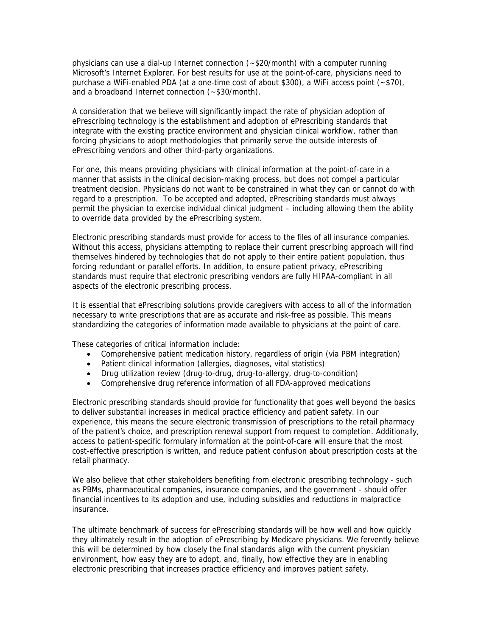physicians can use a dial-up Internet connection (~\$20/month) with a computer running Microsoft's Internet Explorer. For best results for use at the point-of-care, physicians need to purchase a WiFi-enabled PDA (at a one-time cost of about \$300), a WiFi access point (~\$70), and a broadband Internet connection (~\$30/month).

A consideration that we believe will significantly impact the rate of physician adoption of ePrescribing technology is the establishment and adoption of ePrescribing standards that integrate with the existing practice environment and physician clinical workflow, rather than forcing physicians to adopt methodologies that primarily serve the outside interests of ePrescribing vendors and other third-party organizations.

For one, this means providing physicians with clinical information at the point-of-care in a manner that assists in the clinical decision-making process, but does not compel a particular treatment decision. Physicians do not want to be constrained in what they can or cannot do with regard to a prescription. To be accepted and adopted, ePrescribing standards must always permit the physician to exercise individual clinical judgment – including allowing them the ability to override data provided by the ePrescribing system.

Electronic prescribing standards must provide for access to the files of all insurance companies. Without this access, physicians attempting to replace their current prescribing approach will find themselves hindered by technologies that do not apply to their entire patient population, thus forcing redundant or parallel efforts. In addition, to ensure patient privacy, ePrescribing standards must require that electronic prescribing vendors are fully HIPAA-compliant in all aspects of the electronic prescribing process.

It is essential that ePrescribing solutions provide caregivers with access to all of the information necessary to write prescriptions that are as accurate and risk-free as possible. This means standardizing the categories of information made available to physicians at the point of care.

These categories of critical information include:

- Comprehensive patient medication history, regardless of origin (via PBM integration)
- Patient clinical information (allergies, diagnoses, vital statistics)
- Drug utilization review (drug-to-drug, drug-to-allergy, drug-to-condition)
- Comprehensive drug reference information of all FDA-approved medications

Electronic prescribing standards should provide for functionality that goes well beyond the basics to deliver substantial increases in medical practice efficiency and patient safety. In our experience, this means the secure electronic transmission of prescriptions to the retail pharmacy of the patient's choice, and prescription renewal support from request to completion. Additionally, access to patient-specific formulary information at the point-of-care will ensure that the most cost-effective prescription is written, and reduce patient confusion about prescription costs at the retail pharmacy.

We also believe that other stakeholders benefiting from electronic prescribing technology - such as PBMs, pharmaceutical companies, insurance companies, and the government - should offer financial incentives to its adoption and use, including subsidies and reductions in malpractice insurance.

The ultimate benchmark of success for ePrescribing standards will be how well and how quickly they ultimately result in the adoption of ePrescribing by Medicare physicians. We fervently believe this will be determined by how closely the final standards align with the current physician environment, how easy they are to adopt, and, finally, how effective they are in enabling electronic prescribing that increases practice efficiency and improves patient safety.